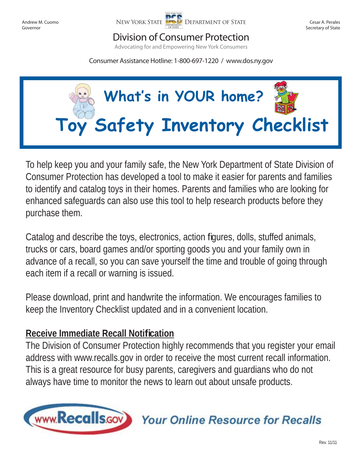Andrew M. Cuomo Governor



Cesar A. Perales Secretary of State

## Division of Consumer Protection

Advocating for and Empowering New York Consumers

Consumer Assistance Hotline: 1-800-697-1220 / www.dos.ny.gov



To help keep you and your family safe, the New York Department of State Division of Consumer Protection has developed a tool to make it easier for parents and families to identify and catalog toys in their homes. Parents and families who are looking for enhanced safeguards can also use this tool to help research products before they purchase them.

Catalog and describe the toys, electronics, action figures, dolls, stuffed animals, trucks or cars, board games and/or sporting goods you and your family own in advance of a recall, so you can save yourself the time and trouble of going through each item if a recall or warning is issued.

Please download, print and handwrite the information. We encourages families to keep the Inventory Checklist updated and in a convenient location.

## **Receive Immediate Recall Notifi cation**

The Division of Consumer Protection highly recommends that you register your email address with www.recalls.gov in order to receive the most current recall information. This is a great resource for busy parents, caregivers and guardians who do not always have time to monitor the news to learn out about unsafe products.



**Your Online Resource for Recalls**